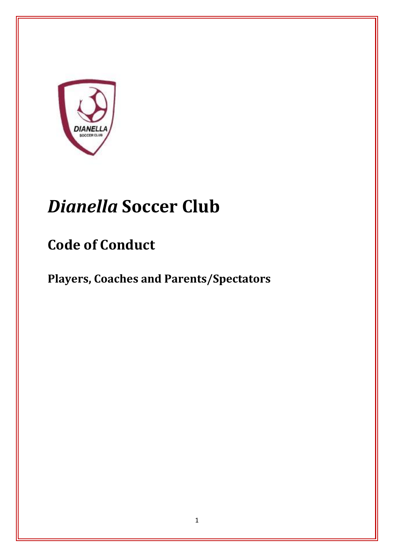

# *Dianella* **Soccer Club**

## **Code of Conduct**

**Players, Coaches and Parents/Spectators**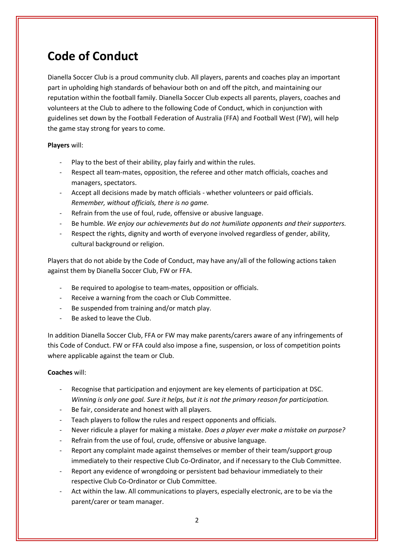### **Code of Conduct**

Dianella Soccer Club is a proud community club. All players, parents and coaches play an important part in upholding high standards of behaviour both on and off the pitch, and maintaining our reputation within the football family. Dianella Soccer Club expects all parents, players, coaches and volunteers at the Club to adhere to the following Code of Conduct, which in conjunction with guidelines set down by the Football Federation of Australia (FFA) and Football West (FW), will help the game stay strong for years to come.

#### **Players** will:

- Play to the best of their ability, play fairly and within the rules.
- Respect all team-mates, opposition, the referee and other match officials, coaches and managers, spectators.
- Accept all decisions made by match officials whether volunteers or paid officials. *Remember, without officials, there is no game.*
- Refrain from the use of foul, rude, offensive or abusive language.
- Be humble. *We enjoy our achievements but do not humiliate opponents and their supporters.*
- Respect the rights, dignity and worth of everyone involved regardless of gender, ability, cultural background or religion.

Players that do not abide by the Code of Conduct, may have any/all of the following actions taken against them by Dianella Soccer Club, FW or FFA.

- Be required to apologise to team-mates, opposition or officials.
- Receive a warning from the coach or Club Committee.
- Be suspended from training and/or match play.
- Be asked to leave the Club.

In addition Dianella Soccer Club, FFA or FW may make parents/carers aware of any infringements of this Code of Conduct. FW or FFA could also impose a fine, suspension, or loss of competition points where applicable against the team or Club.

#### **Coaches** will:

- Recognise that participation and enjoyment are key elements of participation at DSC. *Winning is only one goal. Sure it helps, but it is not the primary reason for participation.*
- Be fair, considerate and honest with all players.
- Teach players to follow the rules and respect opponents and officials.
- Never ridicule a player for making a mistake. *Does a player ever make a mistake on purpose?*
- Refrain from the use of foul, crude, offensive or abusive language.
- Report any complaint made against themselves or member of their team/support group immediately to their respective Club Co-Ordinator, and if necessary to the Club Committee.
- Report any evidence of wrongdoing or persistent bad behaviour immediately to their respective Club Co-Ordinator or Club Committee.
- Act within the law. All communications to players, especially electronic, are to be via the parent/carer or team manager.